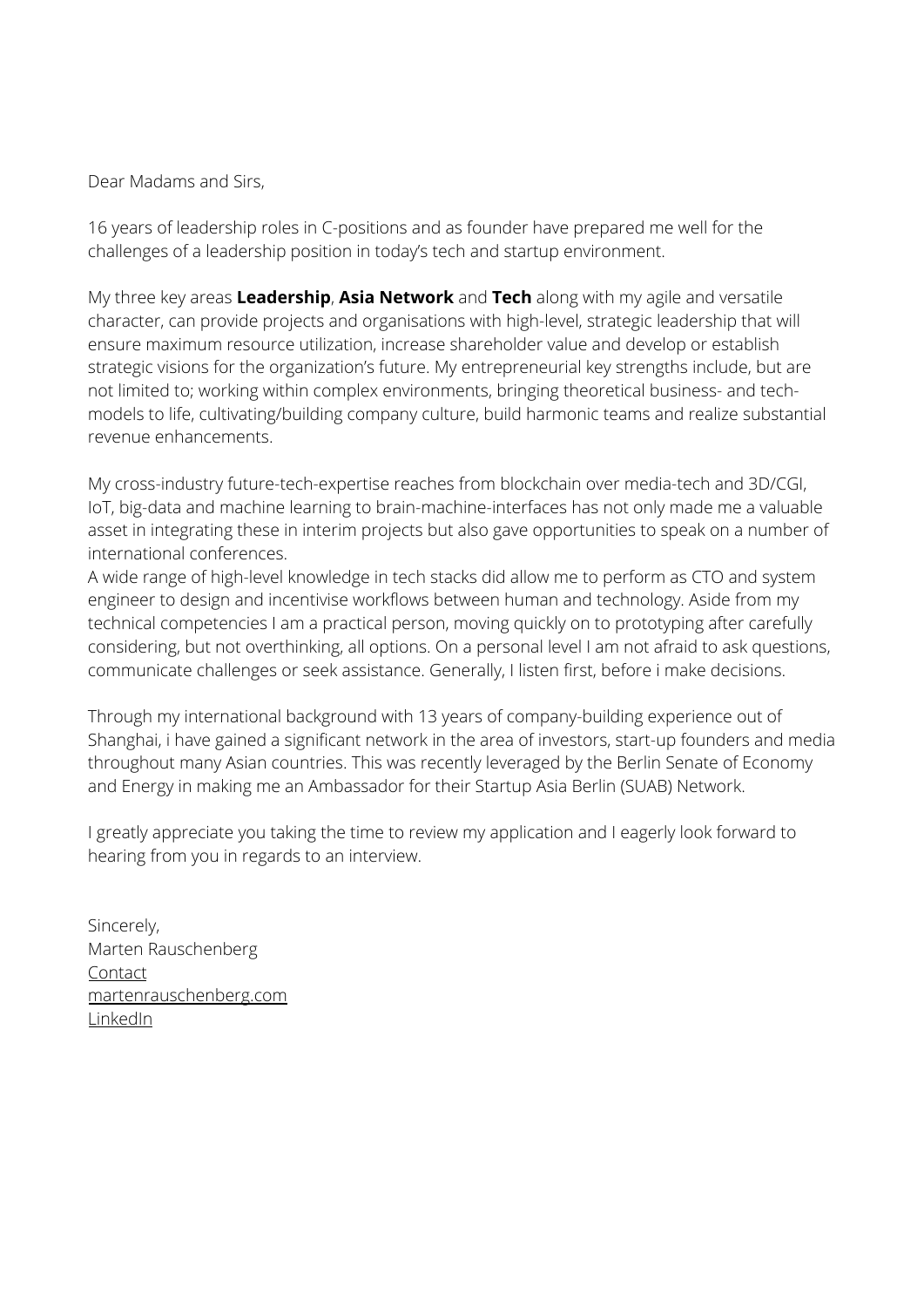Dear Madams and Sirs,

16 years of leadership roles in C-positions and as founder have prepared me well for the challenges of a leadership position in today's tech and startup environment.

My three key areas **Leadership**, **Asia Network** and **Tech** along with my agile and versatile character, can provide projects and organisations with high-level, strategic leadership that will ensure maximum resource utilization, increase shareholder value and develop or establish strategic visions for the organization's future. My entrepreneurial key strengths include, but are not limited to; working within complex environments, bringing theoretical business- and techmodels to life, cultivating/building company culture, build harmonic teams and realize substantial revenue enhancements.

My cross-industry future-tech-expertise reaches from blockchain over media-tech and 3D/CGI, IoT, big-data and machine learning to brain-machine-interfaces has not only made me a valuable asset in integrating these in interim projects but also gave opportunities to speak on a number of international conferences.

A wide range of high-level knowledge in tech stacks did allow me to perform as CTO and system engineer to design and incentivise workflows between human and technology. Aside from my technical competencies I am a practical person, moving quickly on to prototyping after carefully considering, but not overthinking, all options. On a personal level I am not afraid to ask questions, communicate challenges or seek assistance. Generally, I listen first, before i make decisions.

Through my international background with 13 years of company-building experience out of Shanghai, i have gained a significant network in the area of investors, start-up founders and media throughout many Asian countries. This was recently leveraged by the Berlin Senate of Economy and Energy in making me an Ambassador for their Startup Asia Berlin (SUAB) Network.

I greatly appreciate you taking the time to review my application and I eagerly look forward to hearing from you in regards to an interview.

Sincerely, Marten Rauschenberg [Contact](https://martenrauschenberg.com/contact.html) [martenrauschenberg.com](https://martenrauschenberg.com/projectmanagement.html) [LinkedIn](https://www.linkedin.com/in/martenrauschenberg/)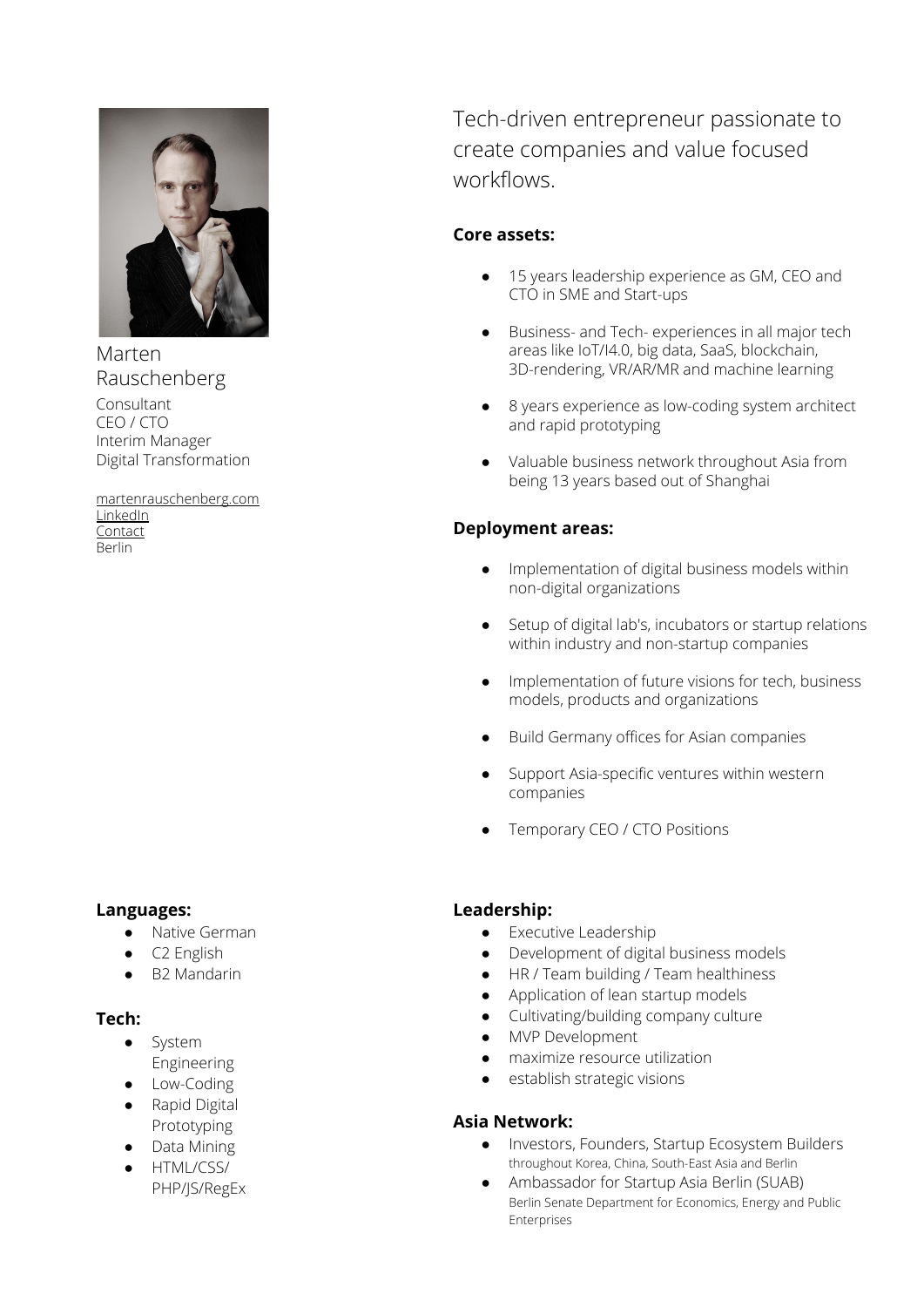

Marten Rauschenberg Consultant CEO / CTO Interim Manager

Digital Transformation

[martenrauschenberg.com](https://martenrauschenberg.com/projectmanagement.html) **[LinkedIn](https://www.linkedin.com/in/martenrauschenberg/) [Contact](https://martenrauschenberg.com/contact.html)** Berlin

### **Languages:**

- Native German
- C<sub>2</sub> English
- B2 Mandarin

### **Tech:**

- System Engineering
- **•** Low-Coding
- Rapid Digital
- Prototyping ● Data Mining
- HTML/CSS/
- PHP/JS/RegEx

Tech-driven entrepreneur passionate to create companies and value focused workflows.

## **Core assets:**

- 15 years leadership experience as GM, CEO and CTO in SME and Start-ups
- Business- and Tech- experiences in all major tech areas like IoT/I4.0, big data, SaaS, blockchain, 3D-rendering, VR/AR/MR and machine learning
- 8 years experience as low-coding system architect and rapid prototyping
- Valuable business network throughout Asia from being 13 years based out of Shanghai

### **Deployment areas:**

- Implementation of digital business models within non-digital organizations
- Setup of digital lab's, incubators or startup relations within industry and non-startup companies
- Implementation of future visions for tech, business models, products and organizations
- Build Germany offices for Asian companies
- Support Asia-specific ventures within western companies
- Temporary CEO / CTO Positions

### **Leadership:**

- Executive Leadership
- Development of digital business models
- HR / Team building / Team healthiness
- Application of lean startup models
- Cultivating/building company culture
- MVP Development
- maximize resource utilization
- establish strategic visions

### **Asia Network:**

- Investors, Founders, Startup Ecosystem Builders throughout Korea, China, South-East Asia and Berlin
- Ambassador for Startup Asia Berlin (SUAB) Berlin Senate Department for Economics, Energy and Public Enterprises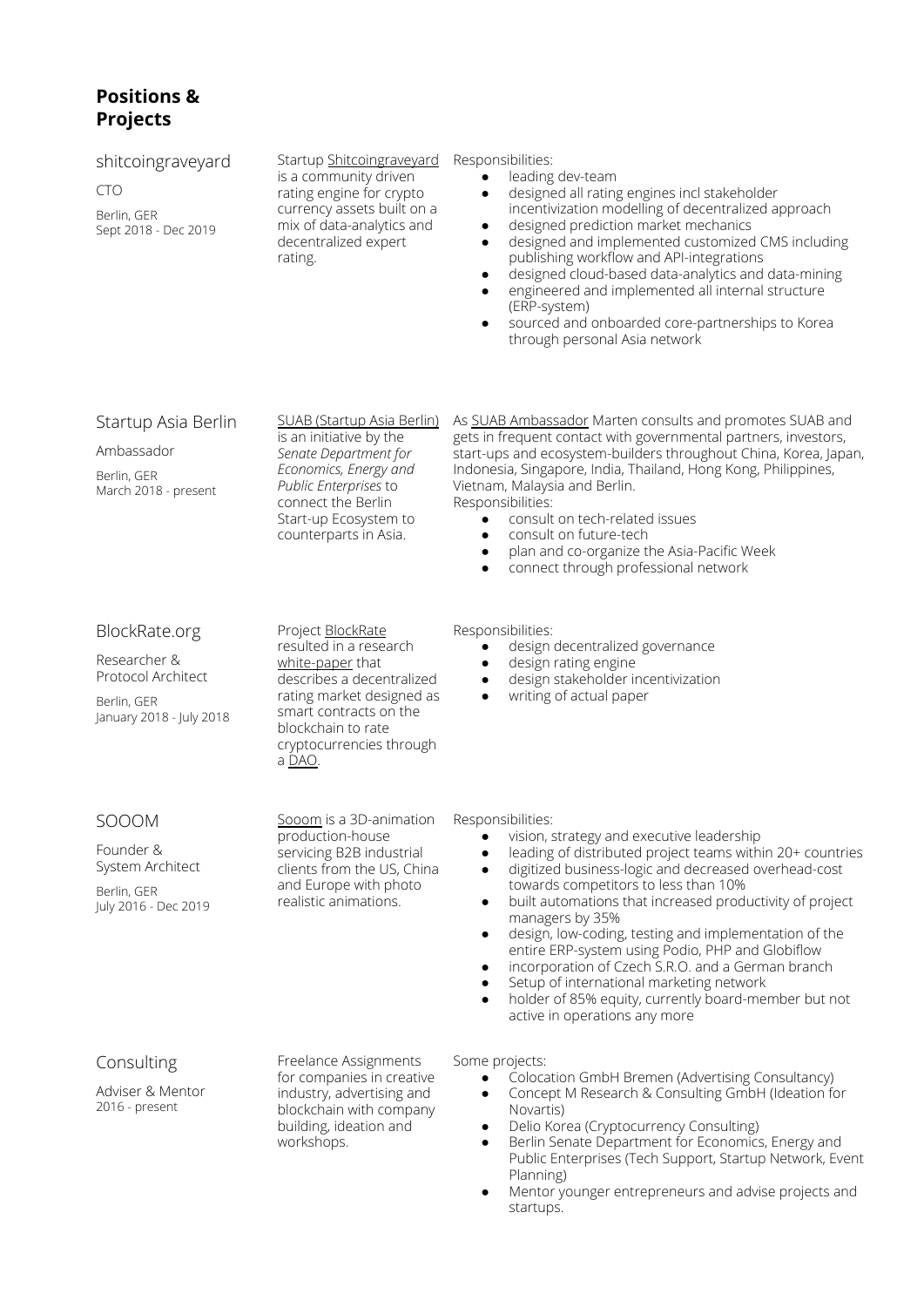# **Positions & Projects**

| shitcoingraveyard<br><b>CTO</b><br>Berlin, GER<br>Sept 2018 - Dec 2019                         | Startup Shitcoingraveyard<br>is a community driven<br>rating engine for crypto<br>currency assets built on a<br>mix of data-analytics and<br>decentralized expert<br>rating.                                    | Responsibilities:<br>leading dev-team<br>designed all rating engines incl stakeholder<br>$\bullet$<br>incentivization modelling of decentralized approach<br>designed prediction market mechanics<br>$\bullet$<br>designed and implemented customized CMS including<br>$\bullet$<br>publishing workflow and API-integrations<br>designed cloud-based data-analytics and data-mining<br>$\bullet$<br>engineered and implemented all internal structure<br>$\bullet$<br>(ERP-system)<br>sourced and onboarded core-partnerships to Korea<br>$\bullet$<br>through personal Asia network                                                                                                    |
|------------------------------------------------------------------------------------------------|-----------------------------------------------------------------------------------------------------------------------------------------------------------------------------------------------------------------|-----------------------------------------------------------------------------------------------------------------------------------------------------------------------------------------------------------------------------------------------------------------------------------------------------------------------------------------------------------------------------------------------------------------------------------------------------------------------------------------------------------------------------------------------------------------------------------------------------------------------------------------------------------------------------------------|
| Startup Asia Berlin<br>Ambassador<br>Berlin, GER<br>March 2018 - present                       | <b>SUAB (Startup Asia Berlin)</b><br>is an initiative by the<br>Senate Department for<br>Economics, Energy and<br>Public Enterprises to<br>connect the Berlin<br>Start-up Ecosystem to<br>counterparts in Asia. | As SUAB Ambassador Marten consults and promotes SUAB and<br>gets in frequent contact with governmental partners, investors,<br>start-ups and ecosystem-builders throughout China, Korea, Japan,<br>Indonesia, Singapore, India, Thailand, Hong Kong, Philippines,<br>Vietnam, Malaysia and Berlin.<br>Responsibilities:<br>consult on tech-related issues<br>$\bullet$<br>consult on future-tech<br>٠<br>plan and co-organize the Asia-Pacific Week<br>٠<br>connect through professional network                                                                                                                                                                                        |
| BlockRate.org<br>Researcher &<br>Protocol Architect<br>Berlin, GER<br>January 2018 - July 2018 | Project BlockRate<br>resulted in a research<br>white-paper that<br>describes a decentralized<br>rating market designed as<br>smart contracts on the<br>blockchain to rate<br>cryptocurrencies through<br>a DAO. | Responsibilities:<br>design decentralized governance<br>design rating engine<br>٠<br>design stakeholder incentivization<br>$\bullet$<br>writing of actual paper<br>$\bullet$                                                                                                                                                                                                                                                                                                                                                                                                                                                                                                            |
| SOOOM<br>Founder &<br>System Architect<br>Berlin, GER<br>July 2016 - Dec 2019                  | Sooom is a 3D-animation<br>production-house<br>servicing B2B industrial<br>clients from the US, China<br>and Europe with photo<br>realistic animations.                                                         | Responsibilities:<br>vision, strategy and executive leadership<br>leading of distributed project teams within 20+ countries<br>digitized business-logic and decreased overhead-cost<br>$\bullet$<br>towards competitors to less than 10%<br>built automations that increased productivity of project<br>$\bullet$<br>managers by 35%<br>design, low-coding, testing and implementation of the<br>$\bullet$<br>entire ERP-system using Podio, PHP and Globiflow<br>incorporation of Czech S.R.O. and a German branch<br>$\bullet$<br>Setup of international marketing network<br>٠<br>holder of 85% equity, currently board-member but not<br>$\bullet$<br>active in operations any more |
| Consulting<br>Adviser & Mentor<br>2016 - present                                               | Freelance Assignments<br>for companies in creative<br>industry, advertising and<br>blockchain with company<br>building, ideation and<br>workshops.                                                              | Some projects:<br>Colocation GmbH Bremen (Advertising Consultancy)<br>Concept M Research & Consulting GmbH (Ideation for<br>Novartis)<br>Delio Korea (Cryptocurrency Consulting)<br>$\bullet$<br>Berlin Senate Department for Economics, Energy and<br>$\bullet$<br>Public Enterprises (Tech Support, Startup Network, Event<br>Planning)<br>Mentor younger entrepreneurs and advise projects and<br>startups.                                                                                                                                                                                                                                                                          |